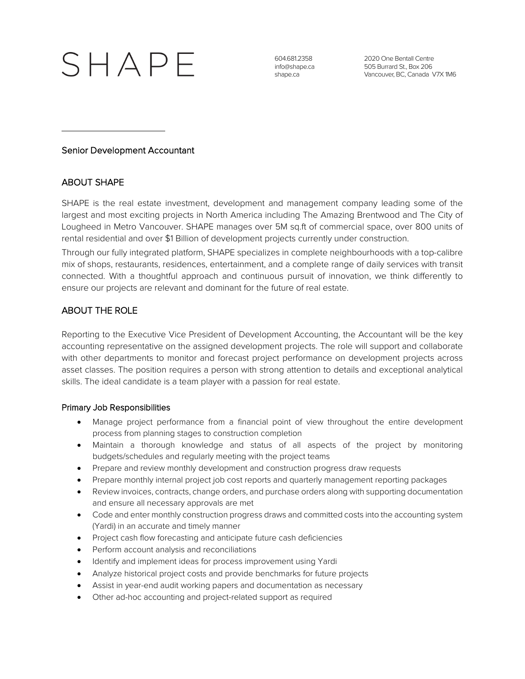# SHAPE

604.681.2358 info@shape.ca shape.ca

2020 One Bentall Centre 505 Burrard St., Box 206 Vancouver, BC, Canada V7X 1M6

## Senior Development Accountant

# ABOUT SHAPE

SHAPE is the real estate investment, development and management company leading some of the largest and most exciting projects in North America including The Amazing Brentwood and The City of Lougheed in Metro Vancouver. SHAPE manages over 5M sq.ft of commercial space, over 800 units of rental residential and over \$1 Billion of development projects currently under construction.

Through our fully integrated platform, SHAPE specializes in complete neighbourhoods with a top-calibre mix of shops, restaurants, residences, entertainment, and a complete range of daily services with transit connected. With a thoughtful approach and continuous pursuit of innovation, we think differently to ensure our projects are relevant and dominant for the future of real estate.

# ABOUT THE ROLE

Reporting to the Executive Vice President of Development Accounting, the Accountant will be the key accounting representative on the assigned development projects. The role will support and collaborate with other departments to monitor and forecast project performance on development projects across asset classes. The position requires a person with strong attention to details and exceptional analytical skills. The ideal candidate is a team player with a passion for real estate.

### Primary Job Responsibilities

- Manage project performance from a financial point of view throughout the entire development process from planning stages to construction completion
- Maintain a thorough knowledge and status of all aspects of the project by monitoring budgets/schedules and regularly meeting with the project teams
- Prepare and review monthly development and construction progress draw requests
- Prepare monthly internal project job cost reports and quarterly management reporting packages
- Review invoices, contracts, change orders, and purchase orders along with supporting documentation and ensure all necessary approvals are met
- Code and enter monthly construction progress draws and committed costs into the accounting system (Yardi) in an accurate and timely manner
- Project cash flow forecasting and anticipate future cash deficiencies
- Perform account analysis and reconciliations
- Identify and implement ideas for process improvement using Yardi
- Analyze historical project costs and provide benchmarks for future projects
- Assist in year-end audit working papers and documentation as necessary
- Other ad-hoc accounting and project-related support as required